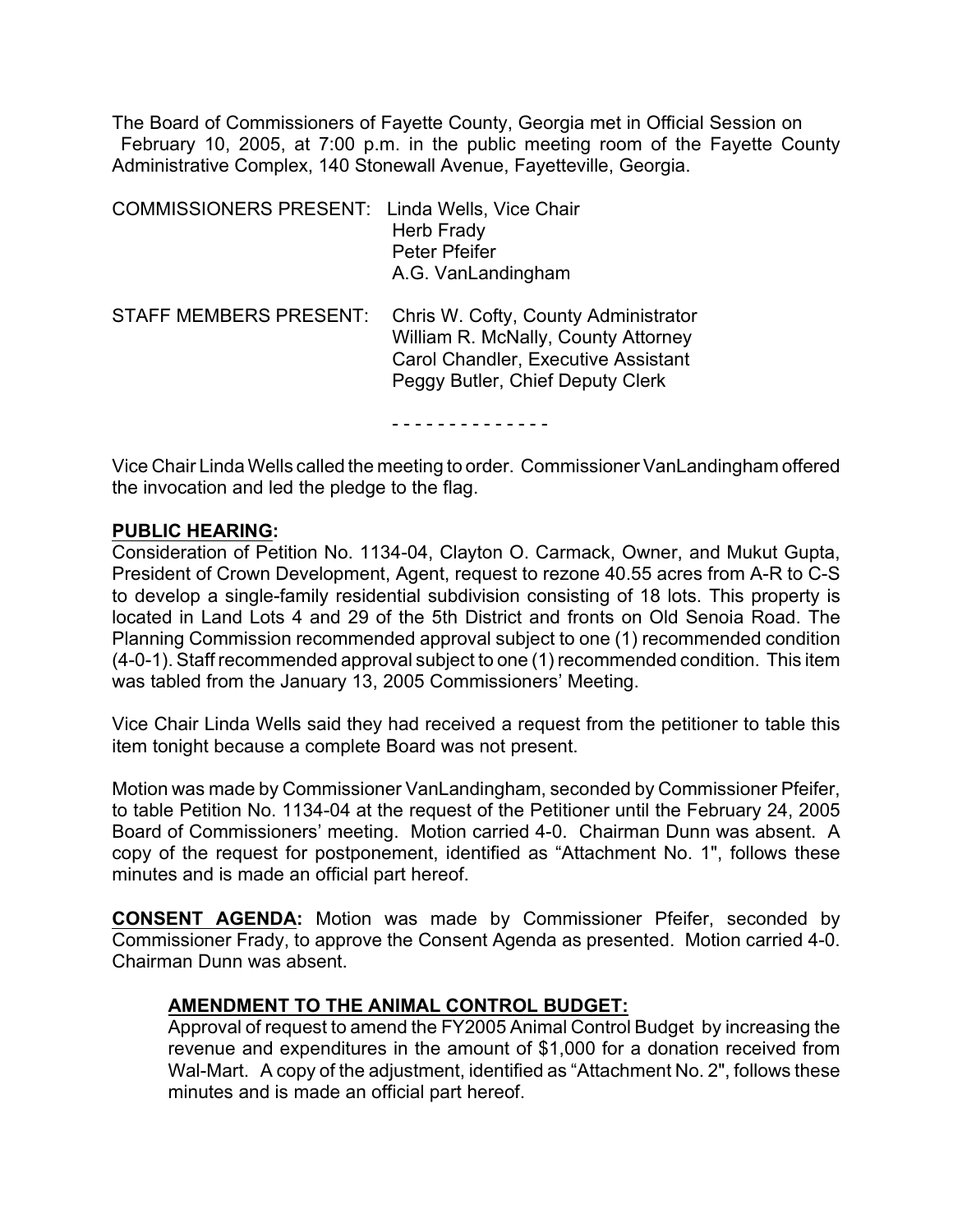The Board of Commissioners of Fayette County, Georgia met in Official Session on February 10, 2005, at 7:00 p.m. in the public meeting room of the Fayette County Administrative Complex, 140 Stonewall Avenue, Fayetteville, Georgia.

| <b>COMMISSIONERS PRESENT:</b> Linda Wells, Vice Chair | <b>Herb Frady</b><br>Peter Pfeifer<br>A.G. VanLandingham                                                                                                      |
|-------------------------------------------------------|---------------------------------------------------------------------------------------------------------------------------------------------------------------|
| <b>STAFF MEMBERS PRESENT:</b>                         | Chris W. Cofty, County Administrator<br>William R. McNally, County Attorney<br><b>Carol Chandler, Executive Assistant</b><br>Peggy Butler, Chief Deputy Clerk |

- - - - - - - - - - - - - -

Vice Chair Linda Wells called the meeting to order. Commissioner VanLandingham offered the invocation and led the pledge to the flag.

#### **PUBLIC HEARING:**

Consideration of Petition No. 1134-04, Clayton O. Carmack, Owner, and Mukut Gupta, President of Crown Development, Agent, request to rezone 40.55 acres from A-R to C-S to develop a single-family residential subdivision consisting of 18 lots. This property is located in Land Lots 4 and 29 of the 5th District and fronts on Old Senoia Road. The Planning Commission recommended approval subject to one (1) recommended condition (4-0-1). Staff recommended approval subject to one (1) recommended condition. This item was tabled from the January 13, 2005 Commissioners' Meeting.

Vice Chair Linda Wells said they had received a request from the petitioner to table this item tonight because a complete Board was not present.

Motion was made by Commissioner VanLandingham, seconded by Commissioner Pfeifer, to table Petition No. 1134-04 at the request of the Petitioner until the February 24, 2005 Board of Commissioners' meeting. Motion carried 4-0. Chairman Dunn was absent. A copy of the request for postponement, identified as "Attachment No. 1", follows these minutes and is made an official part hereof.

**CONSENT AGENDA:** Motion was made by Commissioner Pfeifer, seconded by Commissioner Frady, to approve the Consent Agenda as presented. Motion carried 4-0. Chairman Dunn was absent.

### **AMENDMENT TO THE ANIMAL CONTROL BUDGET:**

Approval of request to amend the FY2005 Animal Control Budget by increasing the revenue and expenditures in the amount of \$1,000 for a donation received from Wal-Mart.A copy of the adjustment, identified as "Attachment No. 2", follows these minutes and is made an official part hereof.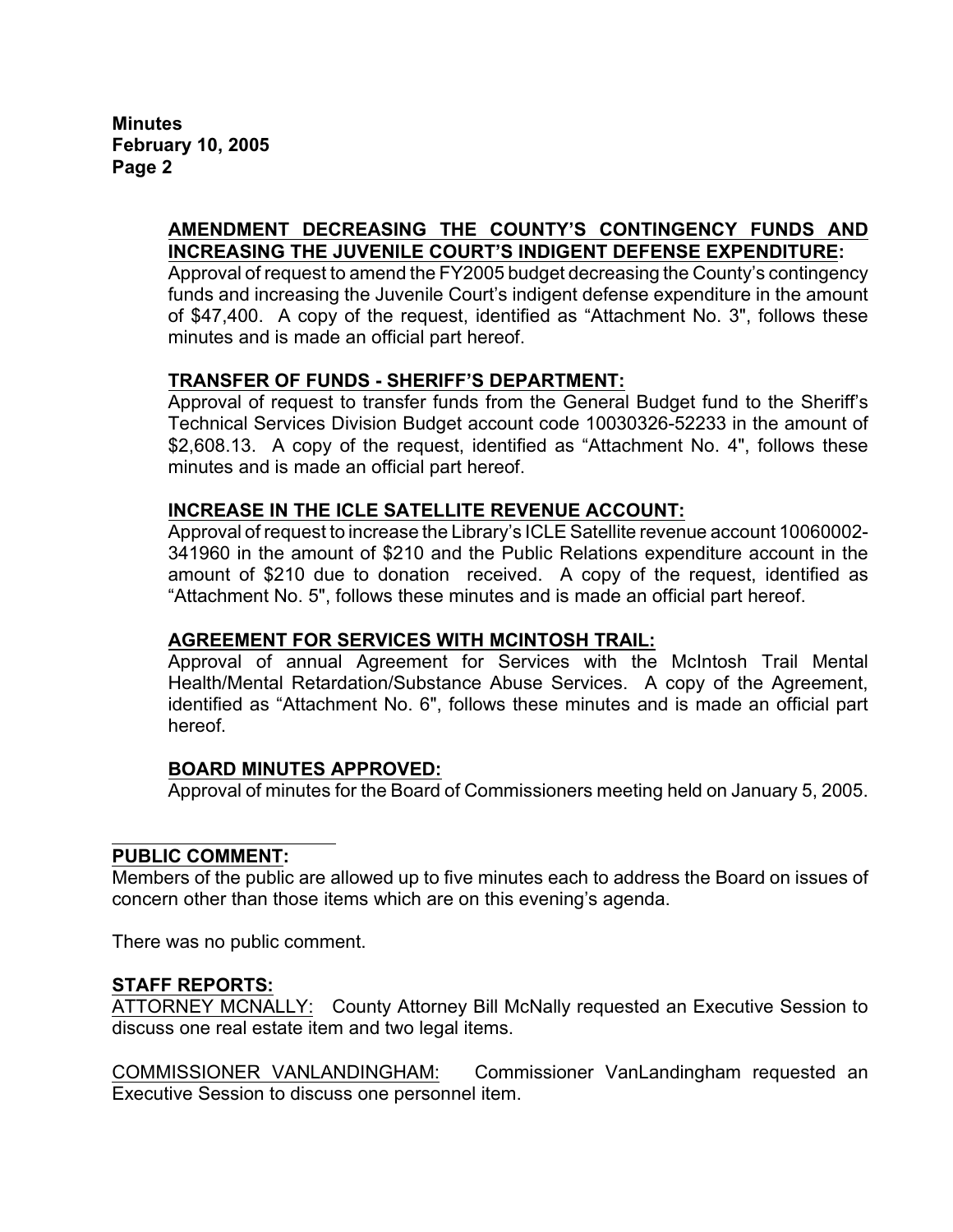**Minutes February 10, 2005 Page 2**

## **AMENDMENT DECREASING THE COUNTY'S CONTINGENCY FUNDS AND INCREASING THE JUVENILE COURT'S INDIGENT DEFENSE EXPENDITURE:**

Approval of request to amend the FY2005 budget decreasing the County's contingency funds and increasing the Juvenile Court's indigent defense expenditure in the amount of \$47,400. A copy of the request, identified as "Attachment No. 3", follows these minutes and is made an official part hereof.

# **TRANSFER OF FUNDS - SHERIFF'S DEPARTMENT:**

Approval of request to transfer funds from the General Budget fund to the Sheriff's Technical Services Division Budget account code 10030326-52233 in the amount of \$2,608.13. A copy of the request, identified as "Attachment No. 4", follows these minutes and is made an official part hereof.

### **INCREASE IN THE ICLE SATELLITE REVENUE ACCOUNT:**

Approval of request to increase the Library's ICLE Satellite revenue account 10060002- 341960 in the amount of \$210 and the Public Relations expenditure account in the amount of \$210 due to donation received. A copy of the request, identified as "Attachment No. 5", follows these minutes and is made an official part hereof.

### **AGREEMENT FOR SERVICES WITH MCINTOSH TRAIL:**

Approval of annual Agreement for Services with the McIntosh Trail Mental Health/Mental Retardation/Substance Abuse Services. A copy of the Agreement, identified as "Attachment No. 6", follows these minutes and is made an official part hereof.

### **BOARD MINUTES APPROVED:**

Approval of minutes for the Board of Commissioners meeting held on January 5, 2005.

### **PUBLIC COMMENT:**

Members of the public are allowed up to five minutes each to address the Board on issues of concern other than those items which are on this evening's agenda.

There was no public comment.

### **STAFF REPORTS:**

ATTORNEY MCNALLY: County Attorney Bill McNally requested an Executive Session to discuss one real estate item and two legal items.

COMMISSIONER VANLANDINGHAM: Commissioner VanLandingham requested an Executive Session to discuss one personnel item.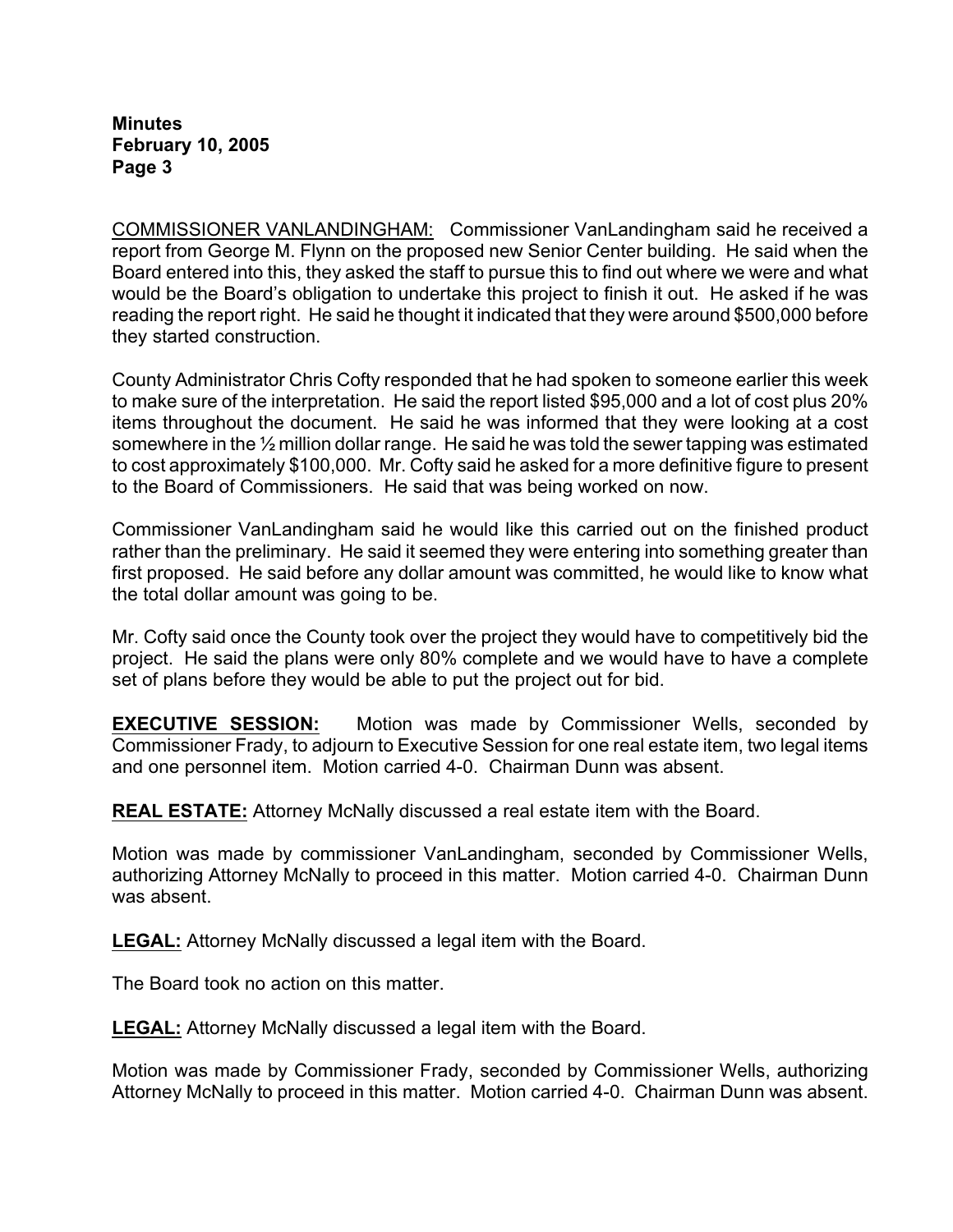**Minutes February 10, 2005 Page 3**

COMMISSIONER VANLANDINGHAM: Commissioner VanLandingham said he received a report from George M. Flynn on the proposed new Senior Center building. He said when the Board entered into this, they asked the staff to pursue this to find out where we were and what would be the Board's obligation to undertake this project to finish it out. He asked if he was reading the report right. He said he thought it indicated that they were around \$500,000 before they started construction.

County Administrator Chris Cofty responded that he had spoken to someone earlier this week to make sure of the interpretation. He said the report listed \$95,000 and a lot of cost plus 20% items throughout the document. He said he was informed that they were looking at a cost somewhere in the ½ million dollar range. He said he was told the sewer tapping was estimated to cost approximately \$100,000. Mr. Cofty said he asked for a more definitive figure to present to the Board of Commissioners. He said that was being worked on now.

Commissioner VanLandingham said he would like this carried out on the finished product rather than the preliminary. He said it seemed they were entering into something greater than first proposed. He said before any dollar amount was committed, he would like to know what the total dollar amount was going to be.

Mr. Cofty said once the County took over the project they would have to competitively bid the project. He said the plans were only 80% complete and we would have to have a complete set of plans before they would be able to put the project out for bid.

**EXECUTIVE SESSION:** Motion was made by Commissioner Wells, seconded by Commissioner Frady, to adjourn to Executive Session for one real estate item, two legal items and one personnel item. Motion carried 4-0. Chairman Dunn was absent.

**REAL ESTATE:** Attorney McNally discussed a real estate item with the Board.

Motion was made by commissioner VanLandingham, seconded by Commissioner Wells, authorizing Attorney McNally to proceed in this matter. Motion carried 4-0. Chairman Dunn was absent.

**LEGAL:** Attorney McNally discussed a legal item with the Board.

The Board took no action on this matter.

**LEGAL:** Attorney McNally discussed a legal item with the Board.

Motion was made by Commissioner Frady, seconded by Commissioner Wells, authorizing Attorney McNally to proceed in this matter. Motion carried 4-0. Chairman Dunn was absent.